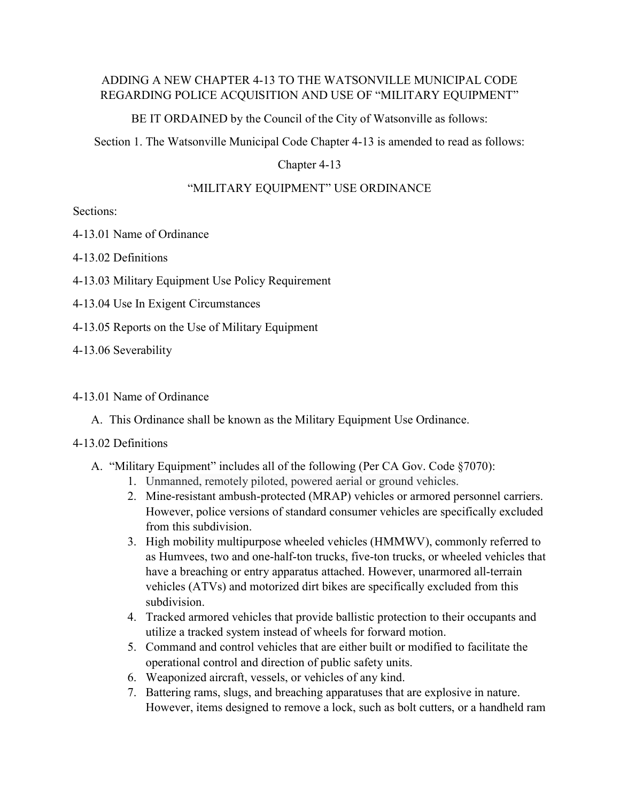# ADDING A NEW CHAPTER 4-13 TO THE WATSONVILLE MUNICIPAL CODE REGARDING POLICE ACQUISITION AND USE OF "MILITARY EQUIPMENT"

BE IT ORDAINED by the Council of the City of Watsonville as follows:

Section 1. The Watsonville Municipal Code Chapter 4-13 is amended to read as follows:

## Chapter 4-13

# "MILITARY EQUIPMENT" USE ORDINANCE

Sections:

4-13.01 Name of Ordinance

4-13.02 Definitions

4-13.03 Military Equipment Use Policy Requirement

4-13.04 Use In Exigent Circumstances

4-13.05 Reports on the Use of Military Equipment

4-13.06 Severability

## 4-13.01 Name of Ordinance

A. This Ordinance shall be known as the Military Equipment Use Ordinance.

#### 4-13.02 Definitions

- A. "Military Equipment" includes all of the following (Per CA Gov. Code §7070):
	- 1. Unmanned, remotely piloted, powered aerial or ground vehicles.
	- 2. Mine-resistant ambush-protected (MRAP) vehicles or armored personnel carriers. However, police versions of standard consumer vehicles are specifically excluded from this subdivision.
	- 3. High mobility multipurpose wheeled vehicles (HMMWV), commonly referred to as Humvees, two and one-half-ton trucks, five-ton trucks, or wheeled vehicles that have a breaching or entry apparatus attached. However, unarmored all-terrain vehicles (ATVs) and motorized dirt bikes are specifically excluded from this subdivision.
	- 4. Tracked armored vehicles that provide ballistic protection to their occupants and utilize a tracked system instead of wheels for forward motion.
	- 5. Command and control vehicles that are either built or modified to facilitate the operational control and direction of public safety units.
	- 6. Weaponized aircraft, vessels, or vehicles of any kind.
	- 7. Battering rams, slugs, and breaching apparatuses that are explosive in nature. However, items designed to remove a lock, such as bolt cutters, or a handheld ram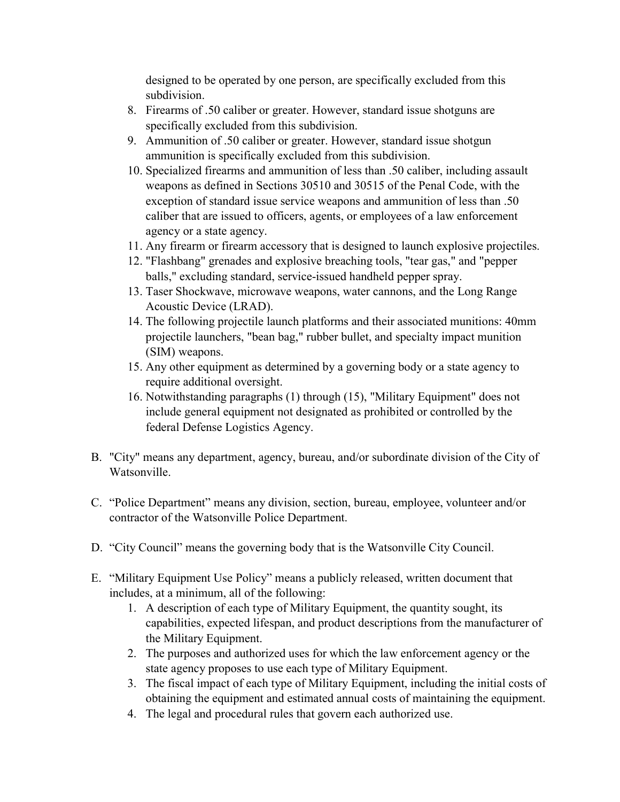designed to be operated by one person, are specifically excluded from this subdivision.

- 8. Firearms of .50 caliber or greater. However, standard issue shotguns are specifically excluded from this subdivision.
- 9. Ammunition of .50 caliber or greater. However, standard issue shotgun ammunition is specifically excluded from this subdivision.
- 10. Specialized firearms and ammunition of less than .50 caliber, including assault weapons as defined in Sections 30510 and 30515 of the Penal Code, with the exception of standard issue service weapons and ammunition of less than .50 caliber that are issued to officers, agents, or employees of a law enforcement agency or a state agency.
- 11. Any firearm or firearm accessory that is designed to launch explosive projectiles.
- 12. "Flashbang" grenades and explosive breaching tools, "tear gas," and "pepper balls," excluding standard, service-issued handheld pepper spray.
- 13. Taser Shockwave, microwave weapons, water cannons, and the Long Range Acoustic Device (LRAD).
- 14. The following projectile launch platforms and their associated munitions: 40mm projectile launchers, "bean bag," rubber bullet, and specialty impact munition (SIM) weapons.
- 15. Any other equipment as determined by a governing body or a state agency to require additional oversight.
- 16. Notwithstanding paragraphs (1) through (15), "Military Equipment" does not include general equipment not designated as prohibited or controlled by the federal Defense Logistics Agency.
- B. "City" means any department, agency, bureau, and/or subordinate division of the City of Watsonville.
- C. "Police Department" means any division, section, bureau, employee, volunteer and/or contractor of the Watsonville Police Department.
- D. "City Council" means the governing body that is the Watsonville City Council.
- E. "Military Equipment Use Policy" means a publicly released, written document that includes, at a minimum, all of the following:
	- 1. A description of each type of Military Equipment, the quantity sought, its capabilities, expected lifespan, and product descriptions from the manufacturer of the Military Equipment.
	- 2. The purposes and authorized uses for which the law enforcement agency or the state agency proposes to use each type of Military Equipment.
	- 3. The fiscal impact of each type of Military Equipment, including the initial costs of obtaining the equipment and estimated annual costs of maintaining the equipment.
	- 4. The legal and procedural rules that govern each authorized use.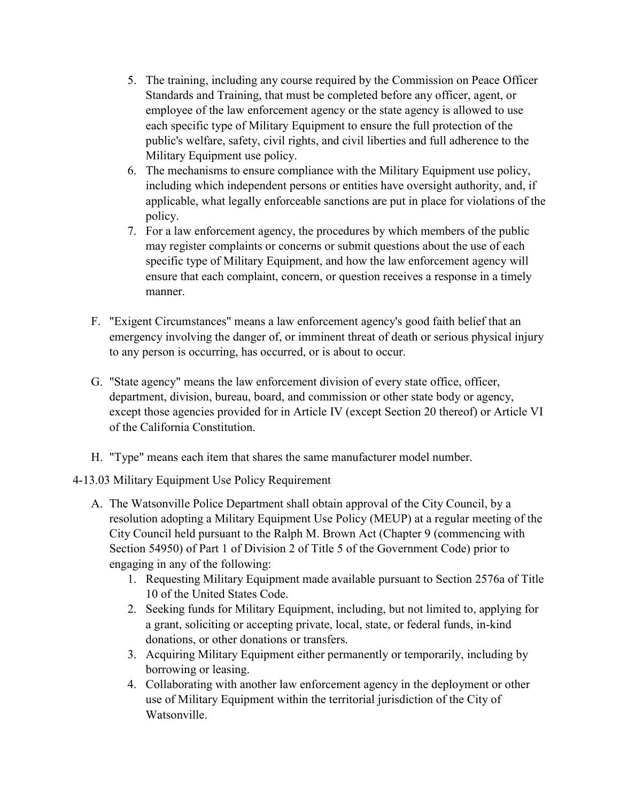- 5. The training, including any course required by the Commission on Peace Officer Standards and Training, that must be completed before any officer, agent, or employee of the law enforcement agency or the state agency is allowed to use each specific type of Military Equipment to ensure the full protection of the public's welfare, safety, civil rights, and civil liberties and full adherence to the Military Equipment use policy.
- 6. The mechanisms to ensure compliance with the Military Equipment use policy, including which independent persons or entities have oversight authority, and, if applicable, what legally enforceable sanctions are put in place for violations of the policy.
- 7. For a law enforcement agency, the procedures by which members of the public may register complaints or concerns or submit questions about the use of each specific type of Military Equipment, and how the law enforcement agency will ensure that each complaint, concern, or question receives a response in a timely manner.
- F. "Exigent Circumstances" means a law enforcement agency's good faith belief that an emergency involving the danger of, or imminent threat of death or serious physical injury to any person is occurring, has occurred, or is about to occur.
- G. "State agency" means the law enforcement division of every state office, officer, department, division, bureau, board, and commission or other state body or agency, except those agencies provided for in Article IV (except Section 20 thereof) or Article VI of the California Constitution.
- H. "Type" means each item that shares the same manufacturer model number.

4-13.03 Military Equipment Use Policy Requirement

- A. The Watsonville Police Department shall obtain approval of the City Council, by a resolution adopting a Military Equipment Use Policy (MEUP) at a regular meeting of the City Council held pursuant to the Ralph M. Brown Act (Chapter 9 (commencing with Section 54950) of Part 1 of Division 2 of Title 5 of the Government Code) prior to engaging in any of the following:
	- 1. Requesting Military Equipment made available pursuant to Section 2576a of Title 10 of the United States Code.
	- 2. Seeking funds for Military Equipment, including, but not limited to, applying for a grant, soliciting or accepting private, local, state, or federal funds, in-kind donations, or other donations or transfers.
	- 3. Acquiring Military Equipment either permanently or temporarily, including by borrowing or leasing.
	- 4. Collaborating with another law enforcement agency in the deployment or other use of Military Equipment within the territorial jurisdiction of the City of Watsonville.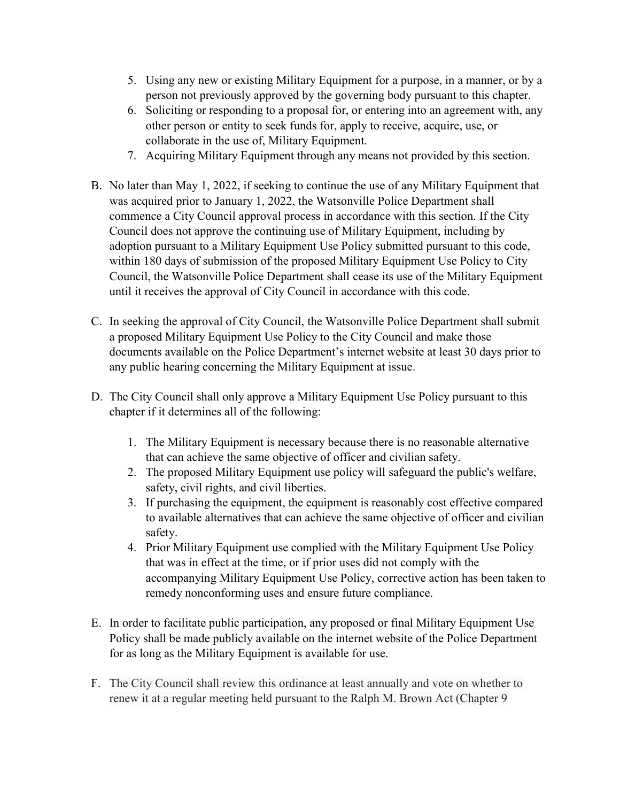- 5. Using any new or existing Military Equipment for a purpose, in a manner, or by a person not previously approved by the governing body pursuant to this chapter.
- 6. Soliciting or responding to a proposal for, or entering into an agreement with, any other person or entity to seek funds for, apply to receive, acquire, use, or collaborate in the use of, Military Equipment.
- 7. Acquiring Military Equipment through any means not provided by this section.
- B. No later than May 1, 2022, if seeking to continue the use of any Military Equipment that was acquired prior to January 1, 2022, the Watsonville Police Department shall commence a City Council approval process in accordance with this section. If the City Council does not approve the continuing use of Military Equipment, including by adoption pursuant to a Military Equipment Use Policy submitted pursuant to this code, within 180 days of submission of the proposed Military Equipment Use Policy to City Council, the Watsonville Police Department shall cease its use of the Military Equipment until it receives the approval of City Council in accordance with this code.
- C. In seeking the approval of City Council, the Watsonville Police Department shall submit a proposed Military Equipment Use Policy to the City Council and make those documents available on the Police Department's internet website at least 30 days prior to any public hearing concerning the Military Equipment at issue.
- D. The City Council shall only approve a Military Equipment Use Policy pursuant to this chapter if it determines all of the following:
	- 1. The Military Equipment is necessary because there is no reasonable alternative that can achieve the same objective of officer and civilian safety.
	- 2. The proposed Military Equipment use policy will safeguard the public's welfare, safety, civil rights, and civil liberties.
	- 3. If purchasing the equipment, the equipment is reasonably cost effective compared to available alternatives that can achieve the same objective of officer and civilian safety.
	- 4. Prior Military Equipment use complied with the Military Equipment Use Policy that was in effect at the time, or if prior uses did not comply with the accompanying Military Equipment Use Policy, corrective action has been taken to remedy nonconforming uses and ensure future compliance.
- E. In order to facilitate public participation, any proposed or final Military Equipment Use Policy shall be made publicly available on the internet website of the Police Department for as long as the Military Equipment is available for use.
- F. The City Council shall review this ordinance at least annually and vote on whether to renew it at a regular meeting held pursuant to the Ralph M. Brown Act (Chapter 9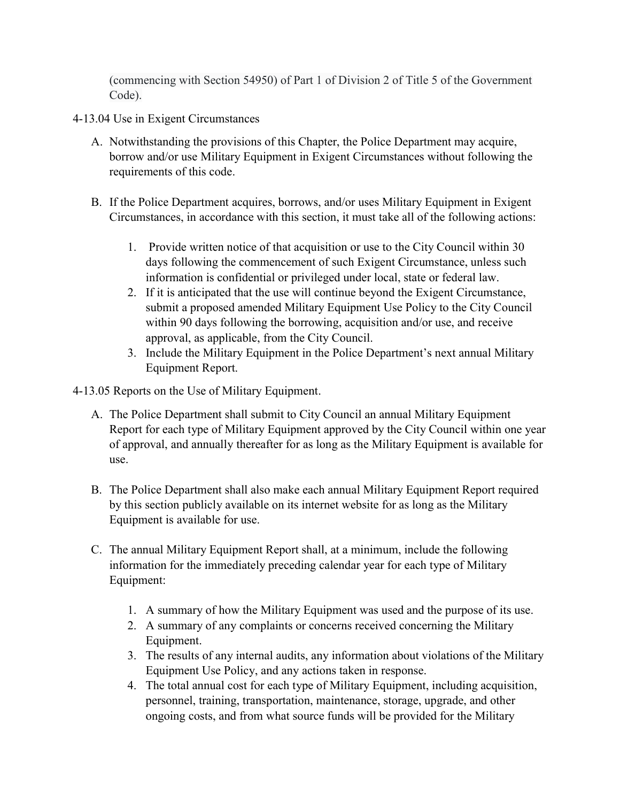(commencing with Section 54950) of Part 1 of Division 2 of Title 5 of the Government Code).

- 4-13.04 Use in Exigent Circumstances
	- A. Notwithstanding the provisions of this Chapter, the Police Department may acquire, borrow and/or use Military Equipment in Exigent Circumstances without following the requirements of this code.
	- B. If the Police Department acquires, borrows, and/or uses Military Equipment in Exigent Circumstances, in accordance with this section, it must take all of the following actions:
		- 1. Provide written notice of that acquisition or use to the City Council within 30 days following the commencement of such Exigent Circumstance, unless such information is confidential or privileged under local, state or federal law.
		- 2. If it is anticipated that the use will continue beyond the Exigent Circumstance, submit a proposed amended Military Equipment Use Policy to the City Council within 90 days following the borrowing, acquisition and/or use, and receive approval, as applicable, from the City Council.
		- 3. Include the Military Equipment in the Police Department's next annual Military Equipment Report.
- 4-13.05 Reports on the Use of Military Equipment.
	- A. The Police Department shall submit to City Council an annual Military Equipment Report for each type of Military Equipment approved by the City Council within one year of approval, and annually thereafter for as long as the Military Equipment is available for use.
	- B. The Police Department shall also make each annual Military Equipment Report required by this section publicly available on its internet website for as long as the Military Equipment is available for use.
	- C. The annual Military Equipment Report shall, at a minimum, include the following information for the immediately preceding calendar year for each type of Military Equipment:
		- 1. A summary of how the Military Equipment was used and the purpose of its use.
		- 2. A summary of any complaints or concerns received concerning the Military Equipment.
		- 3. The results of any internal audits, any information about violations of the Military Equipment Use Policy, and any actions taken in response.
		- 4. The total annual cost for each type of Military Equipment, including acquisition, personnel, training, transportation, maintenance, storage, upgrade, and other ongoing costs, and from what source funds will be provided for the Military